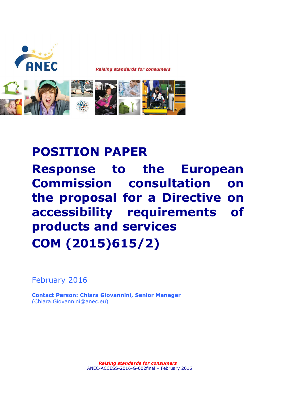

# **POSITION PAPER Response to the European Commission consultation on the proposal for a Directive on accessibility requirements of products and services COM (2015)615/2)**

February 2016

**Contact Person: Chiara Giovannini, Senior Manager** (Chiara.Giovannini@anec.eu)

> *Raising standards for consumers*  ANEC-ACCESS-2016-G-002final – February 2016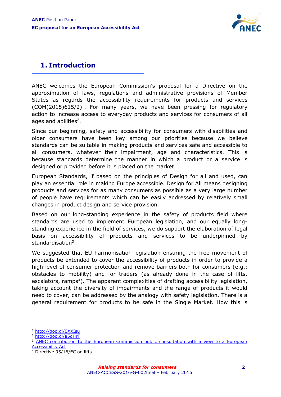

## **1. Introduction**

ANEC welcomes the European Commission's proposal for a Directive on the approximation of laws, regulations and administrative provisions of Member States as regards the accessibility requirements for products and services  $(COM(2015)615/2)^1$ . For many years, we have been pressing for regulatory action to increase access to everyday products and services for consumers of all ages and abilities<sup>2</sup>.

Since our beginning, safety and accessibility for consumers with disabilities and older consumers have been key among our priorities because we believe standards can be suitable in making products and services safe and accessible to all consumers, whatever their impairment, age and characteristics. This is because standards determine the manner in which a product or a service is designed or provided before it is placed on the market.

European Standards, if based on the principles of Design for all and used, can play an essential role in making Europe accessible. Design for All means designing products and services for as many consumers as possible as a very large number of people have requirements which can be easily addressed by relatively small changes in product design and service provision.

Based on our long-standing experience in the safety of products field where standards are used to implement European legislation, and our equally longstanding experience in the field of services, we do support the elaboration of legal basis on accessibility of products and services to be underpinned by standardisation<sup>3</sup>.

We suggested that EU harmonisation legislation ensuring the free movement of products be extended to cover the accessibility of products in order to provide a high level of consumer protection and remove barriers both for consumers (e.g.: obstacles to mobility) and for traders (as already done in the case of lifts, escalators, ramps<sup>4</sup>). The apparent complexities of drafting accessibility legislation, taking account the diversity of impairments and the range of products it would need to cover, can be addressed by the analogy with safety legislation. There is a general requirement for products to be safe in the Single Market. How this is

<sup>1</sup> <http://goo.gl/0XXIsu>

<sup>2</sup> <http://goo.gl/a5dHrF>

<sup>&</sup>lt;sup>3</sup> ANEC contribution to the European Commission public consultation with a view to a European [Accessibility Act](http://www.anec.eu/attachments/ANEC-DFA-2012-G-001final%20.pdf)

<sup>4</sup> Directive 95/16/EC on lifts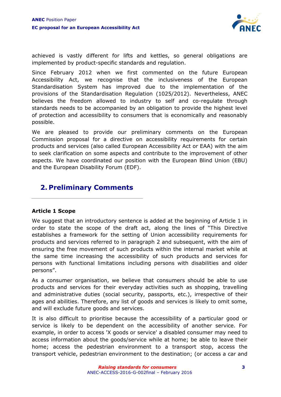

achieved is vastly different for lifts and kettles, so general obligations are implemented by product-specific standards and regulation.

Since February 2012 when we first commented on the future European Accessibility Act, we recognise that the inclusiveness of the European Standardisation System has improved due to the implementation of the provisions of the Standardisation Regulation (1025/2012). Nevertheless, ANEC believes the freedom allowed to industry to self and co-regulate through standards needs to be accompanied by an obligation to provide the highest level of protection and accessibility to consumers that is economically and reasonably possible.

We are pleased to provide our preliminary comments on the European Commission proposal for a directive on accessibility requirements for certain products and services (also called European Accessibility Act or EAA) with the aim to seek clarification on some aspects and contribute to the improvement of other aspects. We have coordinated our position with the European Blind Union (EBU) and the European Disability Forum (EDF).

### **2. Preliminary Comments**

#### **Article 1 Scope**

We suggest that an introductory sentence is added at the beginning of Article 1 in order to state the scope of the draft act, along the lines of "This Directive establishes a framework for the setting of Union accessibility requirements for products and services referred to in paragraph 2 and subsequent, with the aim of ensuring the free movement of such products within the internal market while at the same time increasing the accessibility of such products and services for persons with functional limitations including persons with disabilities and older persons".

As a consumer organisation, we believe that consumers should be able to use products and services for their everyday activities such as shopping, travelling and administrative duties (social security, passports, etc.), irrespective of their ages and abilities. Therefore, any list of goods and services is likely to omit some, and will exclude future goods and services.

It is also difficult to prioritise because the accessibility of a particular good or service is likely to be dependent on the accessibility of another service. For example, in order to access 'X goods or service' a disabled consumer may need to access information about the goods/service while at home; be able to leave their home; access the pedestrian environment to a transport stop, access the transport vehicle, pedestrian environment to the destination; (or access a car and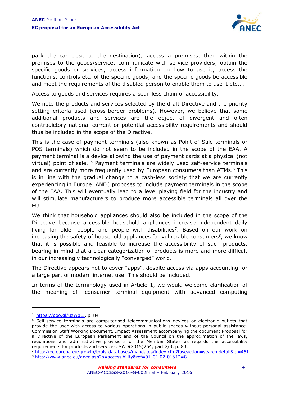

park the car close to the destination); access a premises, then within the premises to the goods/service; communicate with service providers; obtain the specific goods or services; access information on how to use it; access the functions, controls etc. of the specific goods; and the specific goods be accessible and meet the requirements of the disabled person to enable them to use it etc....

Access to goods and services requires a seamless chain of accessibility.

We note the products and services selected by the draft Directive and the priority setting criteria used (cross-border problems). However, we believe that some additional products and services are the object of divergent and often contradictory national current or potential accessibility requirements and should thus be included in the scope of the Directive.

This is the case of payment terminals (also known as Point-of-Sale terminals or POS terminals) which do not seem to be included in the scope of the EAA. A payment terminal is a device allowing the use of payment cards at a physical (not virtual) point of sale. <sup>5</sup> Payment terminals are widely used self-service terminals and are currently more frequently used by European consumers than ATMs.<sup>6</sup> This is in line with the gradual change to a cash-less society that we are currently experiencing in Europe. ANEC proposes to include payment terminals in the scope of the EAA. This will eventually lead to a level playing field for the industry and will stimulate manufacturers to produce more accessible terminals all over the EU.

We think that household appliances should also be included in the scope of the Directive because accessible household appliances increase independent daily living for older people and people with disabilities<sup>7</sup>. Based on our work on increasing the safety of household appliances for vulnerable consumers $\delta$ , we know that it is possible and feasible to increase the accessibility of such products, bearing in mind that a clear categorization of products is more and more difficult in our increasingly technologically "converged" world.

The Directive appears not to cover "apps", despite access via apps accounting for a large part of modern internet use. This should be included.

In terms of the terminology used in Article 1, we would welcome clarification of the meaning of "consumer terminal equipment with advanced computing

<sup>&</sup>lt;sup>5</sup> [https://goo.gl/UzWqLJ,](https://goo.gl/UzWqLJ) p. 84

<sup>6</sup> Self-service terminals are computerised telecommunications devices or electronic outlets that provide the user with access to various operations in public spaces without personal assistance. Commission Staff Working Document, Impact Assessment accompanying the document Proposal for a Directive of the European Parliament and of the Council on the approximation of the laws, regulations and administrative provisions of the Member States as regards the accessibility requirements for products and services, SWD(2015)264, part 2/3, p. 83.

<sup>7</sup> <http://ec.europa.eu/growth/tools-databases/mandates/index.cfm?fuseaction=search.detail&id=461> <sup>8</sup> <http://www.anec.eu/anec.asp?p=accessibility&ref=01-01.02-01&ID=8>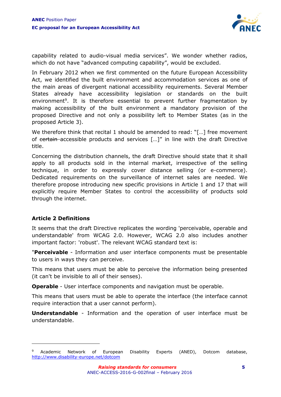

capability related to audio-visual media services". We wonder whether radios, which do not have "advanced computing capability", would be excluded.

In February 2012 when we first commented on the future European Accessibility Act, we identified the built environment and accommodation services as one of the main areas of divergent national accessibility requirements. Several Member States already have accessibility legislation or standards on the built environment<sup>9</sup>. It is therefore essential to prevent further fragmentation by making accessibility of the built environment a mandatory provision of the proposed Directive and not only a possibility left to Member States (as in the proposed Article 3).

We therefore think that recital 1 should be amended to read: "[...] free movement of certain accessible products and services [...]" in line with the draft Directive title.

Concerning the distribution channels, the draft Directive should state that it shall apply to all products sold in the internal market, irrespective of the selling technique, in order to expressly cover distance selling (or e-commerce). Dedicated requirements on the surveillance of internet sales are needed. We therefore propose introducing new specific provisions in Article 1 and 17 that will explicitly require Member States to control the accessibility of products sold through the internet.

#### **Article 2 Definitions**

 $\overline{a}$ 

It seems that the draft Directive replicates the wording 'perceivable, operable and understandable' from WCAG 2.0. However, WCAG 2.0 also includes another important factor: 'robust'. The relevant WCAG standard text is:

"**Perceivable** - Information and user interface components must be presentable to users in ways they can perceive.

This means that users must be able to perceive the information being presented (it can't be invisible to all of their senses).

**Operable** - User interface components and navigation must be operable.

This means that users must be able to operate the interface (the interface cannot require interaction that a user cannot perform).

**Understandable** - Information and the operation of user interface must be understandable.

Academic Network of European Disability Experts (ANED), Dotcom database, <http://www.disability-europe.net/dotcom>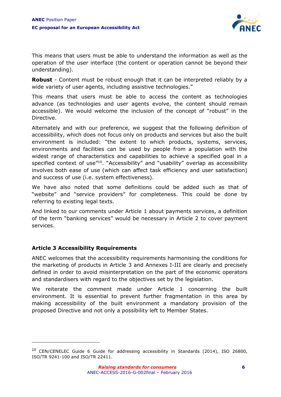

This means that users must be able to understand the information as well as the operation of the user interface (the content or operation cannot be beyond their understanding).

**Robust** - Content must be robust enough that it can be interpreted reliably by a wide variety of user agents, including assistive technologies."

This means that users must be able to access the content as technologies advance (as technologies and user agents evolve, the content should remain accessible). We would welcome the inclusion of the concept of "robust" in the Directive.

Alternately and with our preference, we suggest that the following definition of accessibility, which does not focus only on products and services but also the built environment is included: "the extent to which products, systems, services, environments and facilities can be used by people from a population with the widest range of characteristics and capabilities to achieve a specified goal in a specified context of use<sup>"10</sup>. "Accessibility" and "usability" overlap as accessibility involves both ease of use (which can affect task efficiency and user satisfaction) and success of use (i.e. system effectiveness).

We have also noted that some definitions could be added such as that of "website" and "service providers" for completeness. This could be done by referring to existing legal texts.

And linked to our comments under Article 1 about payments services, a definition of the term "banking services" would be necessary in Article 2 to cover payment services.

#### **Article 3 Accessibility Requirements**

 $\overline{a}$ 

ANEC welcomes that the accessibility requirements harmonising the conditions for the marketing of products in Article 3 and Annexes I-III are clearly and precisely defined in order to avoid misinterpretation on the part of the economic operators and standardisers with regard to the objectives set by the legislation.

We reiterate the comment made under Article 1 concerning the built environment. It is essential to prevent further fragmentation in this area by making accessibility of the built environment a mandatory provision of the proposed Directive and not only a possibility left to Member States.

 $10$  CEN/CENELEC Guide 6 Guide for addressing accessibility in Standards (2014), ISO 26800, ISO/TR 9241-100 and ISO/TR 22411.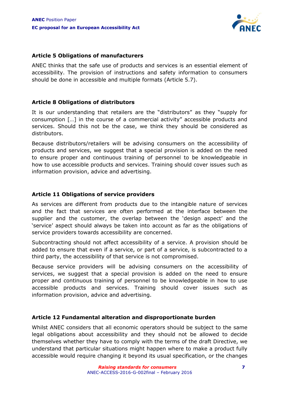

#### **Article 5 Obligations of manufacturers**

ANEC thinks that the safe use of products and services is an essential element of accessibility. The provision of instructions and safety information to consumers should be done in accessible and multiple formats (Article 5.7).

#### **Article 8 Obligations of distributors**

It is our understanding that retailers are the "distributors" as they "supply for consumption […] in the course of a commercial activity" accessible products and services. Should this not be the case, we think they should be considered as distributors.

Because distributors/retailers will be advising consumers on the accessibility of products and services, we suggest that a special provision is added on the need to ensure proper and continuous training of personnel to be knowledgeable in how to use accessible products and services. Training should cover issues such as information provision, advice and advertising.

#### **Article 11 Obligations of service providers**

As services are different from products due to the intangible nature of services and the fact that services are often performed at the interface between the supplier and the customer, the overlap between the 'design aspect' and the 'service' aspect should always be taken into account as far as the obligations of service providers towards accessibility are concerned.

Subcontracting should not affect accessibility of a service. A provision should be added to ensure that even if a service, or part of a service, is subcontracted to a third party, the accessibility of that service is not compromised.

Because service providers will be advising consumers on the accessibility of services, we suggest that a special provision is added on the need to ensure proper and continuous training of personnel to be knowledgeable in how to use accessible products and services. Training should cover issues such as information provision, advice and advertising.

#### **Article 12 Fundamental alteration and disproportionate burden**

Whilst ANEC considers that all economic operators should be subject to the same legal obligations about accessibility and they should not be allowed to decide themselves whether they have to comply with the terms of the draft Directive, we understand that particular situations might happen where to make a product fully accessible would require changing it beyond its usual specification, or the changes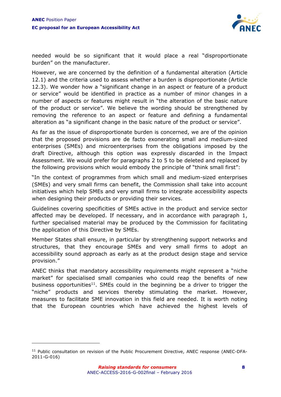

needed would be so significant that it would place a real "disproportionate burden" on the manufacturer.

However, we are concerned by the definition of a fundamental alteration (Article 12.1) and the criteria used to assess whether a burden is disproportionate (Article 12.3). We wonder how a "significant change in an aspect or feature of a product or service" would be identified in practice as a number of minor changes in a number of aspects or features might result in "the alteration of the basic nature of the product or service". We believe the wording should be strengthened by removing the reference to an aspect or feature and defining a fundamental alteration as "a significant change in the basic nature of the product or service".

As far as the issue of disproportionate burden is concerned, we are of the opinion that the proposed provisions are de facto exonerating small and medium-sized enterprises (SMEs) and microenterprises from the obligations imposed by the draft Directive, although this option was expressly discarded in the Impact Assessment. We would prefer for paragraphs 2 to 5 to be deleted and replaced by the following provisions which would embody the principle of "think small first":

"In the context of programmes from which small and medium-sized enterprises (SMEs) and very small firms can benefit, the Commission shall take into account initiatives which help SMEs and very small firms to integrate accessibility aspects when designing their products or providing their services.

Guidelines covering specificities of SMEs active in the product and service sector affected may be developed. If necessary, and in accordance with paragraph 1, further specialised material may be produced by the Commission for facilitating the application of this Directive by SMEs.

Member States shall ensure, in particular by strengthening support networks and structures, that they encourage SMEs and very small firms to adopt an accessibility sound approach as early as at the product design stage and service provision."

ANEC thinks that mandatory accessibility requirements might represent a "niche market" for specialised small companies who could reap the benefits of new business opportunities<sup>11</sup>. SMEs could in the beginning be a driver to trigger the "niche" products and services thereby stimulating the market. However, measures to facilitate SME innovation in this field are needed. It is worth noting that the European countries which have achieved the highest levels of

<sup>&</sup>lt;sup>11</sup> Public consultation on revision of the Public Procurement Directive, ANEC response (ANEC-DFA-2011-G-016)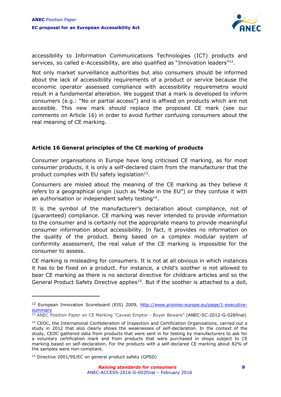

accessibility to Information Communications Technologies (ICT) products and services, so called e-Accessibility, are also qualified as "Innovation leaders"<sup>12</sup>.

Not only market surveillance authorities but also consumers should be informed about the lack of accessibility requirements of a product or service because the economic operator assessed compliance with accessibility requiremetns would result in a fundamental alteration. We suggest that a mark is developed to inform consumers (e.g.: "No or partial access") and is affixed on products which are not accesible. This new mark should replace the proposed CE mark (see our comments on Article 16) in order to avoid further confusing consumers about the real meaning of CE marking.

#### **Article 16 General principles of the CE marking of products**

Consumer organisations in Europe have long criticised CE marking, as for most consumer products, it is only a self-declared claim from the manufacturer that the product complies with EU safety legislation $^{13}$ .

Consumers are misled about the meaning of the CE marking as they believe it refers to a geographical origin (such as "Made in the EU") or they confuse it with an authorisation or independent safety testing $^{14}$ .

It is the symbol of the manufacturer's declaration about compliance, not of (guaranteed) compliance. CE marking was never intended to provide information to the consumer and is certainly not the appropriate means to provide meaningful consumer information about accessibility. In fact, it provides no information on the quality of the product. Being based on a complex modular system of conformity assessment, the real value of the CE marking is impossible for the consumer to assess.

CE marking is misleading for consumers. It is not at all obvious in which instances it has to be fixed on a product. For instance, a child's soother is not allowed to bear CE marking as there is no sectoral directive for childcare articles and so the General Product Safety Directive applies<sup>15</sup>. But if the soother is attached to a doll,

<sup>&</sup>lt;sup>12</sup> European Innovation Scoreboard (EIS) 2009, [http://www.proinno-europe.eu/page/1-executive](http://www.proinno-europe.eu/page/1-executive-summary)**[summary](http://www.proinno-europe.eu/page/1-executive-summary)** 

<sup>&</sup>lt;sup>13</sup> [ANEC Position Paper on CE Marking "Caveat Emptor -](http://www.anec.eu/attachments/ANEC-SC-2012-G-026final.pdf) Buyer Beware" (ANEC-SC-2012-G-026final)

<sup>14</sup> CEOC, the International Confederation of Inspection and Certification Organisations, carried out a study in 2012 that also clearly shows the weaknesses of self-declaration. In the context of the study, CEOC gathered data from products that were sent in for testing by manufacturers to ask for a voluntary certification mark and from products that were purchased in shops subject to CE marking based on self-declaration. For the products with a self-declared CE marking about 82% of the samples were non-compliant.

<sup>15</sup> Directive 2001/95/EC on general product safety (GPSD)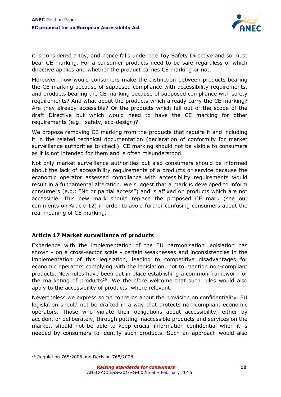

it is considered a toy, and hence falls under the Toy Safety Directive and so must bear CE marking. For a consumer products need to be safe regardless of which directive applies and whether the product carries CE marking or not.

Moreover, how would consumers make the distinction between products bearing the CE marking because of supposed compliance with accessibility requirements, and products bearing the CE marking because of supposed compliance with safety requirements? And what about the products which already carry the CE marking? Are they already accessible? Or the products which fall out of the scope of the draft Directive but which would need to have the CE marking for other requirements (e.g.: safety, eco-design)?

We propose removing CE marking from the products that require it and including it in the related technical documentation (declaration of conformity for market surveillance authorities to check). CE marking should not be visible to consumers as it is not intended for them and is often misunderstood.

Not only market surveillance authorities but also consumers should be informed about the lack of accessibility requirements of a products or service because the economic operator assessed compliance with accessibility requirements would result in a fundamental alteration. We suggest that a mark is developed to inform consumers (e.g.: "No or partial access") and is affixed on products which are not accessible. This new mark should replace the proposed CE mark (see our comments on Article 12) in order to avoid further confusing consumers about the real meaning of CE marking.

#### **Article 17 Market surveillance of products**

Experience with the implementation of the EU harmonisation legislation has shown - on a cross-sector scale - certain weaknesses and inconsistencies in the implementation of this legislation, leading to competitive disadvantages for economic operators complying with the legislation, not to mention non-compliant products. New rules have been put in place establishing a common framework for the marketing of products<sup>16</sup>. We therefore welcome that such rules would also apply to the accessibility of products, where relevant.

Nevertheless we express some concerns about the provision on confidentiality. EU legislation should not be drafted in a way that protects non-compliant economic operators. Those who violate their obligations about accessibility, either by accident or deliberately, through putting inaccessible products and services on the market, should not be able to keep crucial information confidential when it is needed by consumers to identify such products. Such an approach would also

<sup>16</sup> Regulation 765/2008 and Decision 768/2008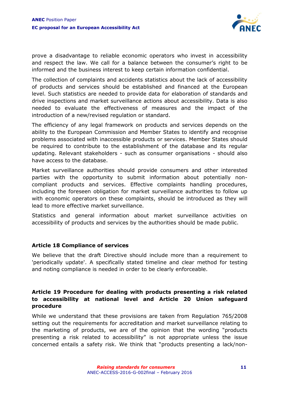

prove a disadvantage to reliable economic operators who invest in accessibility and respect the law. We call for a balance between the consumer's right to be informed and the business interest to keep certain information confidential.

The collection of complaints and accidents statistics about the lack of accessibility of products and services should be established and financed at the European level. Such statistics are needed to provide data for elaboration of standards and drive inspections and market surveillance actions about accessibility. Data is also needed to evaluate the effectiveness of measures and the impact of the introduction of a new/revised regulation or standard.

The efficiency of any legal framework on products and services depends on the ability to the European Commission and Member States to identify and recognise problems associated with inaccessible products or services. Member States should be required to contribute to the establishment of the database and its regular updating. Relevant stakeholders - such as consumer organisations - should also have access to the database.

Market surveillance authorities should provide consumers and other interested parties with the opportunity to submit information about potentially noncompliant products and services. Effective complaints handling procedures, including the foreseen obligation for market surveillance authorities to follow up with economic operators on these complaints, should be introduced as they will lead to more effective market surveillance.

Statistics and general information about market surveillance activities on accessibility of products and services by the authorities should be made public.

#### **Article 18 Compliance of services**

We believe that the draft Directive should include more than a requirement to 'periodically update'. A specifically stated timeline and clear method for testing and noting compliance is needed in order to be clearly enforceable.

#### **Article 19 Procedure for dealing with products presenting a risk related to accessibility at national level and Article 20 Union safeguard procedure**

While we understand that these provisions are taken from Regulation 765/2008 setting out the requirements for accreditation and market surveillance relating to the marketing of products, we are of the opinion that the wording "products presenting a risk related to accessibility" is not appropriate unless the issue concerned entails a safety risk. We think that "products presenting a lack/non-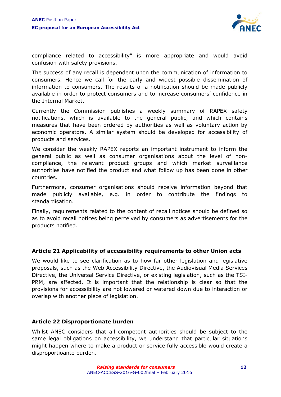

compliance related to accessibility" is more appropriate and would avoid confusion with safety provisions.

The success of any recall is dependent upon the communication of information to consumers. Hence we call for the early and widest possible dissemination of information to consumers. The results of a notification should be made publicly available in order to protect consumers and to increase consumers' confidence in the Internal Market.

Currently the Commission publishes a weekly summary of RAPEX safety notifications, which is available to the general public, and which contains measures that have been ordered by authorities as well as voluntary action by economic operators. A similar system should be developed for accessibility of products and services.

We consider the weekly RAPEX reports an important instrument to inform the general public as well as consumer organisations about the level of noncompliance, the relevant product groups and which market surveillance authorities have notified the product and what follow up has been done in other countries.

Furthermore, consumer organisations should receive information beyond that made publicly available, e.g. in order to contribute the findings to standardisation.

Finally, requirements related to the content of recall notices should be defined so as to avoid recall notices being perceived by consumers as advertisements for the products notified.

#### **Article 21 Applicability of accessibility requirements to other Union acts**

We would like to see clarification as to how far other legislation and legislative proposals, such as the [Web Accessibility Directive,](http://ec.europa.eu/digital-agenda/en/news/proposal-directive-european-parliament-and-council-accessibility-public-sector-bodies-websites) the [Audiovisual Media Services](http://eur-lex.europa.eu/legal-content/EN/ALL/?uri=CELEX:32010L0013)  [Directive,](http://eur-lex.europa.eu/legal-content/EN/ALL/?uri=CELEX:32010L0013) the [Universal Service Directive,](http://eur-lex.europa.eu/legal-content/EN/ALL/?uri=CELEX%3A32002L0022) or existing legislation, such as the [TSI-](http://eur-lex.europa.eu/legal-content/EN/TXT/?uri=CELEX%3A32014R1300)[PRM,](http://eur-lex.europa.eu/legal-content/EN/TXT/?uri=CELEX%3A32014R1300) are affected. It is important that the relationship is clear so that the provisions for accessibility are not lowered or watered down due to interaction or overlap with another piece of legislation.

#### **Article 22 Disproportionate burden**

Whilst ANEC considers that all competent authorities should be subject to the same legal obligations on accessibility, we understand that particular situations might happen where to make a product or service fully accessible would create a disproportioante burden.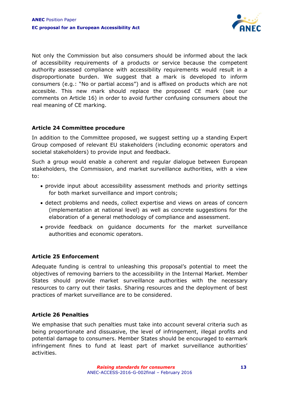

Not only the Commission but also consumers should be informed about the lack of accessibility requirements of a products or service because the competent authority assessed compliance with accessibility requirements would result in a disproportionate burden. We suggest that a mark is developed to inform consumers (e.g.: "No or partial access") and is affixed on products which are not accesible. This new mark should replace the proposed CE mark (see our comments on Article 16) in order to avoid further confusing consumers about the real meaning of CE marking.

#### **Article 24 Committee procedure**

In addition to the Committee proposed, we suggest setting up a standing Expert Group composed of relevant EU stakeholders (including economic operators and societal stakeholders) to provide input and feedback.

Such a group would enable a coherent and regular dialogue between European stakeholders, the Commission, and market surveillance authorities, with a view to:

- provide input about accessibility assessment methods and priority settings for both market surveillance and import controls;
- detect problems and needs, collect expertise and views on areas of concern (implementation at national level) as well as concrete suggestions for the elaboration of a general methodology of compliance and assessment.
- provide feedback on guidance documents for the market surveillance authorities and economic operators.

#### **Article 25 Enforcement**

Adequate funding is central to unleashing this proposal's potential to meet the objectives of removing barriers to the accessibility in the Internal Market. Member States should provide market surveillance authorities with the necessary resources to carry out their tasks. Sharing resources and the deployment of best practices of market surveillance are to be considered.

#### **Article 26 Penalties**

We emphasise that such penalties must take into account several criteria such as being proportionate and dissuasive, the level of infringement, illegal profits and potential damage to consumers. Member States should be encouraged to earmark infringement fines to fund at least part of market surveillance authorities' activities.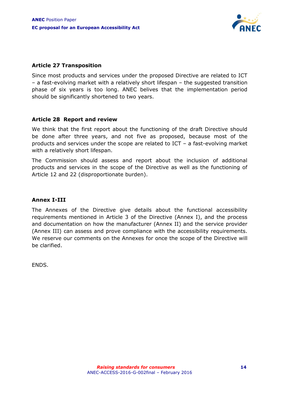

#### **Article 27 Transposition**

Since most products and services under the proposed Directive are related to ICT – a fast-evolving market with a relatively short lifespan – the suggested transition phase of six years is too long. ANEC belives that the implementation period should be significantly shortened to two years.

#### **Article 28 Report and review**

We think that the first report about the functioning of the draft Directive should be done after three years, and not five as proposed, because most of the products and services under the scope are related to ICT – a fast-evolving market with a relatively short lifespan.

The Commission should assess and report about the inclusion of additional products and services in the scope of the Directive as well as the functioning of Article 12 and 22 (disproportionate burden).

#### **Annex I-III**

The Annexes of the Directive give details about the functional accessibility requirements mentioned in Article 3 of the Directive (Annex I), and the process and documentation on how the manufacturer (Annex II) and the service provider (Annex III) can assess and prove compliance with the accessibility requirements. We reserve our comments on the Annexes for once the scope of the Directive will be clarified.

ENDS.